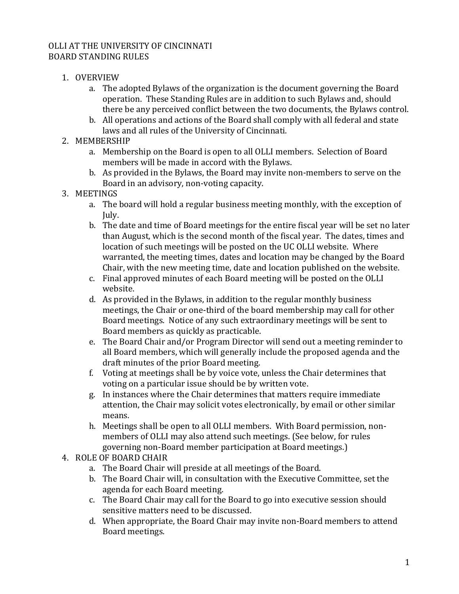## OLLI AT THE UNIVERSITY OF CINCINNATI BOARD STANDING RULES

- 1. OVERVIEW
	- a. The adopted Bylaws of the organization is the document governing the Board operation. These Standing Rules are in addition to such Bylaws and, should there be any perceived conflict between the two documents, the Bylaws control.
	- b. All operations and actions of the Board shall comply with all federal and state laws and all rules of the University of Cincinnati.
- 2. MEMBERSHIP
	- a. Membership on the Board is open to all OLLI members. Selection of Board members will be made in accord with the Bylaws.
	- b. As provided in the Bylaws, the Board may invite non-members to serve on the Board in an advisory, non-voting capacity.
- 3. MEETINGS
	- a. The board will hold a regular business meeting monthly, with the exception of July.
	- b. The date and time of Board meetings for the entire fiscal year will be set no later than August, which is the second month of the fiscal year. The dates, times and location of such meetings will be posted on the UC OLLI website. Where warranted, the meeting times, dates and location may be changed by the Board Chair, with the new meeting time, date and location published on the website.
	- c. Final approved minutes of each Board meeting will be posted on the OLLI website.
	- d. As provided in the Bylaws, in addition to the regular monthly business meetings, the Chair or one-third of the board membership may call for other Board meetings. Notice of any such extraordinary meetings will be sent to Board members as quickly as practicable.
	- e. The Board Chair and/or Program Director will send out a meeting reminder to all Board members, which will generally include the proposed agenda and the draft minutes of the prior Board meeting.
	- f. Voting at meetings shall be by voice vote, unless the Chair determines that voting on a particular issue should be by written vote.
	- g. In instances where the Chair determines that matters require immediate attention, the Chair may solicit votes electronically, by email or other similar means.
	- h. Meetings shall be open to all OLLI members. With Board permission, nonmembers of OLLI may also attend such meetings. (See below, for rules governing non-Board member participation at Board meetings.)
- 4. ROLE OF BOARD CHAIR
	- a. The Board Chair will preside at all meetings of the Board.
	- b. The Board Chair will, in consultation with the Executive Committee, set the agenda for each Board meeting.
	- c. The Board Chair may call for the Board to go into executive session should sensitive matters need to be discussed.
	- d. When appropriate, the Board Chair may invite non-Board members to attend Board meetings.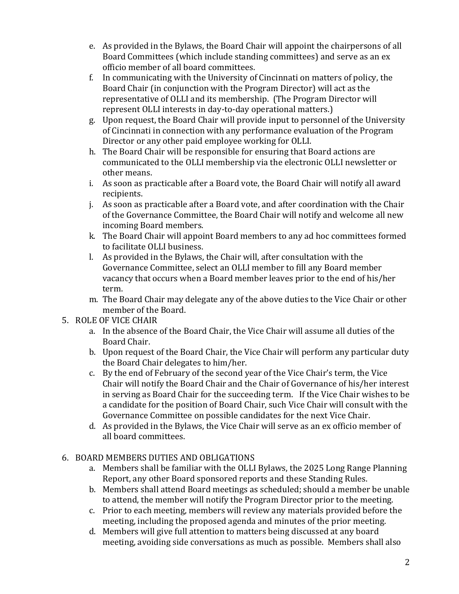- e. As provided in the Bylaws, the Board Chair will appoint the chairpersons of all Board Committees (which include standing committees) and serve as an ex officio member of all board committees.
- f. In communicating with the University of Cincinnati on matters of policy, the Board Chair (in conjunction with the Program Director) will act as the representative of OLLI and its membership. (The Program Director will represent OLLI interests in day-to-day operational matters.)
- g. Upon request, the Board Chair will provide input to personnel of the University of Cincinnati in connection with any performance evaluation of the Program Director or any other paid employee working for OLLI.
- h. The Board Chair will be responsible for ensuring that Board actions are communicated to the OLLI membership via the electronic OLLI newsletter or other means.
- i. As soon as practicable after a Board vote, the Board Chair will notify all award recipients.
- j. As soon as practicable after a Board vote, and after coordination with the Chair of the Governance Committee, the Board Chair will notify and welcome all new incoming Board members.
- k. The Board Chair will appoint Board members to any ad hoc committees formed to facilitate OLLI business.
- l. As provided in the Bylaws, the Chair will, after consultation with the Governance Committee, select an OLLI member to fill any Board member vacancy that occurs when a Board member leaves prior to the end of his/her term.
- m. The Board Chair may delegate any of the above duties to the Vice Chair or other member of the Board.

## 5. ROLE OF VICE CHAIR

- a. In the absence of the Board Chair, the Vice Chair will assume all duties of the Board Chair.
- b. Upon request of the Board Chair, the Vice Chair will perform any particular duty the Board Chair delegates to him/her.
- c. By the end of February of the second year of the Vice Chair's term, the Vice Chair will notify the Board Chair and the Chair of Governance of his/her interest in serving as Board Chair for the succeeding term. If the Vice Chair wishes to be a candidate for the position of Board Chair, such Vice Chair will consult with the Governance Committee on possible candidates for the next Vice Chair.
- d. As provided in the Bylaws, the Vice Chair will serve as an ex officio member of all board committees.

## 6. BOARD MEMBERS DUTIES AND OBLIGATIONS

- a. Members shall be familiar with the OLLI Bylaws, the 2025 Long Range Planning Report, any other Board sponsored reports and these Standing Rules.
- b. Members shall attend Board meetings as scheduled; should a member be unable to attend, the member will notify the Program Director prior to the meeting.
- c. Prior to each meeting, members will review any materials provided before the meeting, including the proposed agenda and minutes of the prior meeting.
- d. Members will give full attention to matters being discussed at any board meeting, avoiding side conversations as much as possible. Members shall also